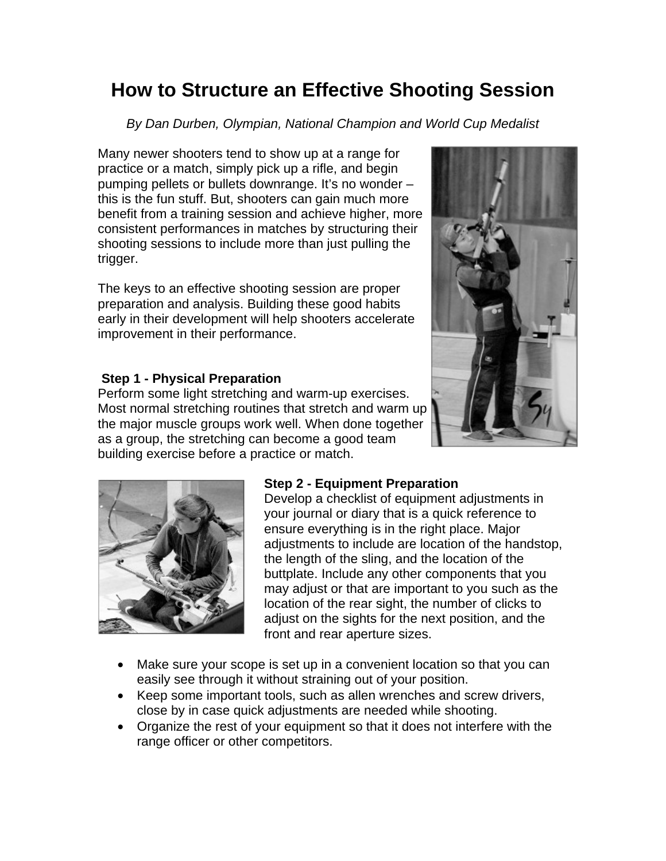# **How to Structure an Effective Shooting Session**

*By Dan Durben, Olympian, National Champion and World Cup Medalist* 

Many newer shooters tend to show up at a range for practice or a match, simply pick up a rifle, and begin pumping pellets or bullets downrange. It's no wonder – this is the fun stuff. But, shooters can gain much more benefit from a training session and achieve higher, more consistent performances in matches by structuring their shooting sessions to include more than just pulling the trigger.

The keys to an effective shooting session are proper preparation and analysis. Building these good habits early in their development will help shooters accelerate improvement in their performance.

## **Step 1 - Physical Preparation**

Perform some light stretching and warm-up exercises. Most normal stretching routines that stretch and warm up the major muscle groups work well. When done together as a group, the stretching can become a good team building exercise before a practice or match.





## **Step 2 - Equipment Preparation**

Develop a checklist of equipment adjustments in your journal or diary that is a quick reference to ensure everything is in the right place. Major adjustments to include are location of the handstop, the length of the sling, and the location of the buttplate. Include any other components that you may adjust or that are important to you such as the location of the rear sight, the number of clicks to adjust on the sights for the next position, and the front and rear aperture sizes.

- Make sure your scope is set up in a convenient location so that you can easily see through it without straining out of your position.
- Keep some important tools, such as allen wrenches and screw drivers, close by in case quick adjustments are needed while shooting.
- Organize the rest of your equipment so that it does not interfere with the range officer or other competitors.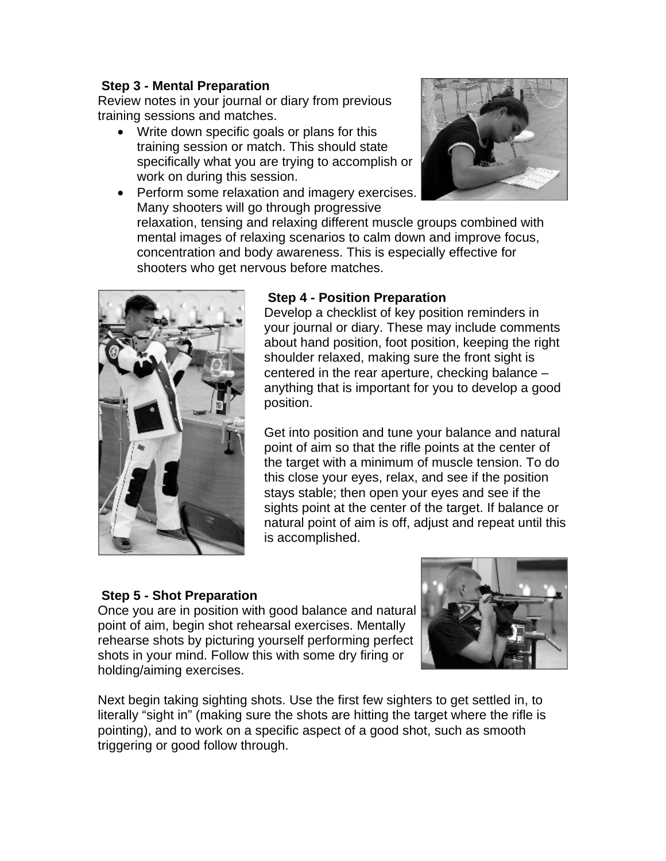#### **Step 3 - Mental Preparation**

Review notes in your journal or diary from previous training sessions and matches.

- Write down specific goals or plans for this training session or match. This should state specifically what you are trying to accomplish or work on during this session.
- Perform some relaxation and imagery exercises. Many shooters will go through progressive



relaxation, tensing and relaxing different muscle groups combined with mental images of relaxing scenarios to calm down and improve focus, concentration and body awareness. This is especially effective for shooters who get nervous before matches.



### **Step 4 - Position Preparation**

Develop a checklist of key position reminders in your journal or diary. These may include comments about hand position, foot position, keeping the right shoulder relaxed, making sure the front sight is centered in the rear aperture, checking balance – anything that is important for you to develop a good position.

Get into position and tune your balance and natural point of aim so that the rifle points at the center of the target with a minimum of muscle tension. To do this close your eyes, relax, and see if the position stays stable; then open your eyes and see if the sights point at the center of the target. If balance or natural point of aim is off, adjust and repeat until this is accomplished.

## **Step 5 - Shot Preparation**



Once you are in position with good balance and natural point of aim, begin shot rehearsal exercises. Mentally rehearse shots by picturing yourself performing perfect shots in your mind. Follow this with some dry firing or holding/aiming exercises.

Next begin taking sighting shots. Use the first few sighters to get settled in, to literally "sight in" (making sure the shots are hitting the target where the rifle is pointing), and to work on a specific aspect of a good shot, such as smooth triggering or good follow through.